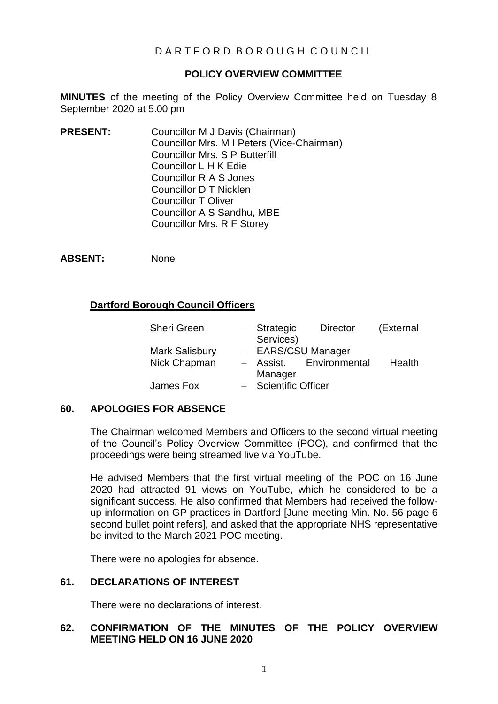# D A R T F O R D B O R O U G H C O U N C I L

# **POLICY OVERVIEW COMMITTEE**

**MINUTES** of the meeting of the Policy Overview Committee held on Tuesday 8 September 2020 at 5.00 pm

**PRESENT:** Councillor M J Davis (Chairman) Councillor Mrs. M I Peters (Vice-Chairman) Councillor Mrs. S P Butterfill Councillor L H K Edie Councillor R A S Jones Councillor D T Nicklen Councillor T Oliver Councillor A S Sandhu, MBE Councillor Mrs. R F Storey

**ABSENT:** None

# **Dartford Borough Council Officers**

|         | <b>Director</b>                       | (External                                                   |
|---------|---------------------------------------|-------------------------------------------------------------|
|         |                                       |                                                             |
|         |                                       |                                                             |
|         |                                       | Health                                                      |
| Manager |                                       |                                                             |
|         |                                       |                                                             |
|         | - Strategic<br>Services)<br>- Assist. | - EARS/CSU Manager<br>Environmental<br>- Scientific Officer |

## **60. APOLOGIES FOR ABSENCE**

The Chairman welcomed Members and Officers to the second virtual meeting of the Council's Policy Overview Committee (POC), and confirmed that the proceedings were being streamed live via YouTube.

He advised Members that the first virtual meeting of the POC on 16 June 2020 had attracted 91 views on YouTube, which he considered to be a significant success. He also confirmed that Members had received the followup information on GP practices in Dartford [June meeting Min. No. 56 page 6 second bullet point refers], and asked that the appropriate NHS representative be invited to the March 2021 POC meeting.

There were no apologies for absence.

## **61. DECLARATIONS OF INTEREST**

There were no declarations of interest.

# **62. CONFIRMATION OF THE MINUTES OF THE POLICY OVERVIEW MEETING HELD ON 16 JUNE 2020**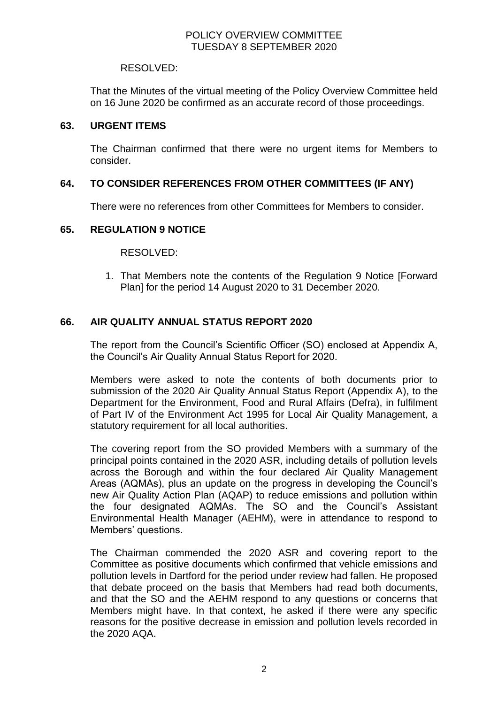#### RESOLVED:

That the Minutes of the virtual meeting of the Policy Overview Committee held on 16 June 2020 be confirmed as an accurate record of those proceedings.

#### **63. URGENT ITEMS**

The Chairman confirmed that there were no urgent items for Members to consider.

## **64. TO CONSIDER REFERENCES FROM OTHER COMMITTEES (IF ANY)**

There were no references from other Committees for Members to consider.

#### **65. REGULATION 9 NOTICE**

#### RESOLVED:

1. That Members note the contents of the Regulation 9 Notice [Forward Plan] for the period 14 August 2020 to 31 December 2020.

## **66. AIR QUALITY ANNUAL STATUS REPORT 2020**

The report from the Council's Scientific Officer (SO) enclosed at Appendix A, the Council's Air Quality Annual Status Report for 2020.

Members were asked to note the contents of both documents prior to submission of the 2020 Air Quality Annual Status Report (Appendix A), to the Department for the Environment, Food and Rural Affairs (Defra), in fulfilment of Part IV of the Environment Act 1995 for Local Air Quality Management, a statutory requirement for all local authorities.

The covering report from the SO provided Members with a summary of the principal points contained in the 2020 ASR, including details of pollution levels across the Borough and within the four declared Air Quality Management Areas (AQMAs), plus an update on the progress in developing the Council's new Air Quality Action Plan (AQAP) to reduce emissions and pollution within the four designated AQMAs. The SO and the Council's Assistant Environmental Health Manager (AEHM), were in attendance to respond to Members' questions.

The Chairman commended the 2020 ASR and covering report to the Committee as positive documents which confirmed that vehicle emissions and pollution levels in Dartford for the period under review had fallen. He proposed that debate proceed on the basis that Members had read both documents, and that the SO and the AEHM respond to any questions or concerns that Members might have. In that context, he asked if there were any specific reasons for the positive decrease in emission and pollution levels recorded in the 2020 AQA.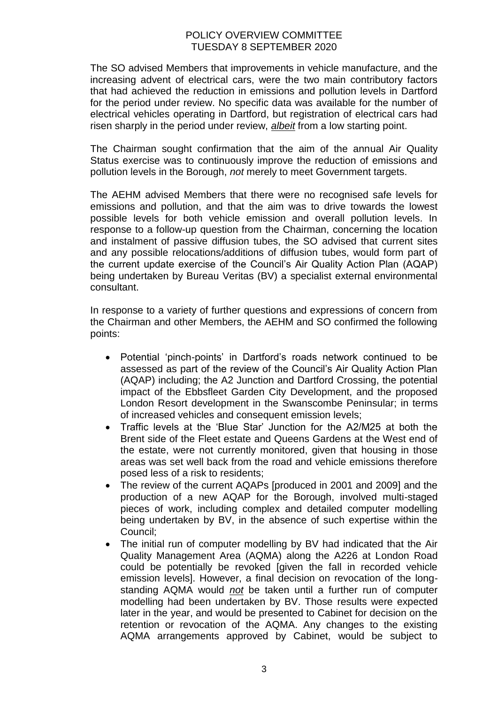The SO advised Members that improvements in vehicle manufacture, and the increasing advent of electrical cars, were the two main contributory factors that had achieved the reduction in emissions and pollution levels in Dartford for the period under review. No specific data was available for the number of electrical vehicles operating in Dartford, but registration of electrical cars had risen sharply in the period under review, *albeit* from a low starting point.

The Chairman sought confirmation that the aim of the annual Air Quality Status exercise was to continuously improve the reduction of emissions and pollution levels in the Borough, *not* merely to meet Government targets.

The AEHM advised Members that there were no recognised safe levels for emissions and pollution, and that the aim was to drive towards the lowest possible levels for both vehicle emission and overall pollution levels. In response to a follow-up question from the Chairman, concerning the location and instalment of passive diffusion tubes, the SO advised that current sites and any possible relocations/additions of diffusion tubes, would form part of the current update exercise of the Council's Air Quality Action Plan (AQAP) being undertaken by Bureau Veritas (BV) a specialist external environmental consultant.

In response to a variety of further questions and expressions of concern from the Chairman and other Members, the AEHM and SO confirmed the following points:

- Potential 'pinch-points' in Dartford's roads network continued to be assessed as part of the review of the Council's Air Quality Action Plan (AQAP) including; the A2 Junction and Dartford Crossing, the potential impact of the Ebbsfleet Garden City Development, and the proposed London Resort development in the Swanscombe Peninsular; in terms of increased vehicles and consequent emission levels;
- Traffic levels at the 'Blue Star' Junction for the A2/M25 at both the Brent side of the Fleet estate and Queens Gardens at the West end of the estate, were not currently monitored, given that housing in those areas was set well back from the road and vehicle emissions therefore posed less of a risk to residents;
- The review of the current AQAPs [produced in 2001 and 2009] and the production of a new AQAP for the Borough, involved multi-staged pieces of work, including complex and detailed computer modelling being undertaken by BV, in the absence of such expertise within the Council;
- The initial run of computer modelling by BV had indicated that the Air Quality Management Area (AQMA) along the A226 at London Road could be potentially be revoked [given the fall in recorded vehicle emission levels]. However, a final decision on revocation of the longstanding AQMA would *not* be taken until a further run of computer modelling had been undertaken by BV. Those results were expected later in the year, and would be presented to Cabinet for decision on the retention or revocation of the AQMA. Any changes to the existing AQMA arrangements approved by Cabinet, would be subject to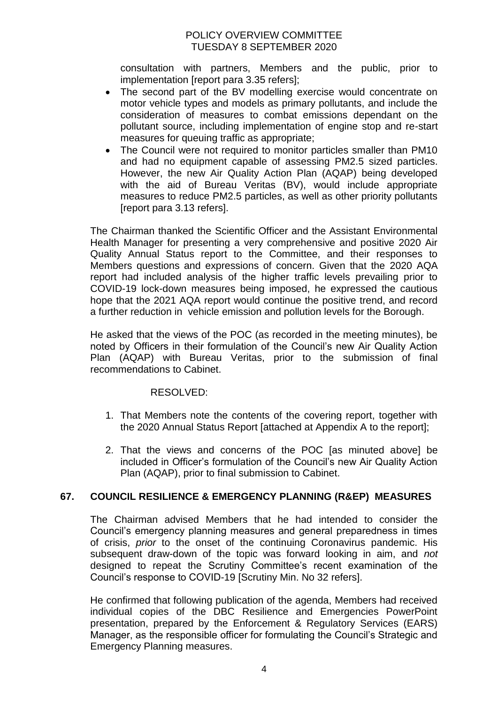consultation with partners, Members and the public, prior to implementation [report para 3.35 refers];

- The second part of the BV modelling exercise would concentrate on motor vehicle types and models as primary pollutants, and include the consideration of measures to combat emissions dependant on the pollutant source, including implementation of engine stop and re-start measures for queuing traffic as appropriate;
- The Council were not required to monitor particles smaller than PM10 and had no equipment capable of assessing PM2.5 sized particles. However, the new Air Quality Action Plan (AQAP) being developed with the aid of Bureau Veritas (BV), would include appropriate measures to reduce PM2.5 particles, as well as other priority pollutants [report para 3.13 refers].

The Chairman thanked the Scientific Officer and the Assistant Environmental Health Manager for presenting a very comprehensive and positive 2020 Air Quality Annual Status report to the Committee, and their responses to Members questions and expressions of concern. Given that the 2020 AQA report had included analysis of the higher traffic levels prevailing prior to COVID-19 lock-down measures being imposed, he expressed the cautious hope that the 2021 AQA report would continue the positive trend, and record a further reduction in vehicle emission and pollution levels for the Borough.

He asked that the views of the POC (as recorded in the meeting minutes), be noted by Officers in their formulation of the Council's new Air Quality Action Plan (AQAP) with Bureau Veritas, prior to the submission of final recommendations to Cabinet.

## RESOLVED:

- 1. That Members note the contents of the covering report, together with the 2020 Annual Status Report [attached at Appendix A to the report];
- 2. That the views and concerns of the POC [as minuted above] be included in Officer's formulation of the Council's new Air Quality Action Plan (AQAP), prior to final submission to Cabinet.

## **67. COUNCIL RESILIENCE & EMERGENCY PLANNING (R&EP) MEASURES**

The Chairman advised Members that he had intended to consider the Council's emergency planning measures and general preparedness in times of crisis, *prior* to the onset of the continuing Coronavirus pandemic. His subsequent draw-down of the topic was forward looking in aim, and *not* designed to repeat the Scrutiny Committee's recent examination of the Council's response to COVID-19 [Scrutiny Min. No 32 refers].

He confirmed that following publication of the agenda, Members had received individual copies of the DBC Resilience and Emergencies PowerPoint presentation, prepared by the Enforcement & Regulatory Services (EARS) Manager, as the responsible officer for formulating the Council's Strategic and Emergency Planning measures.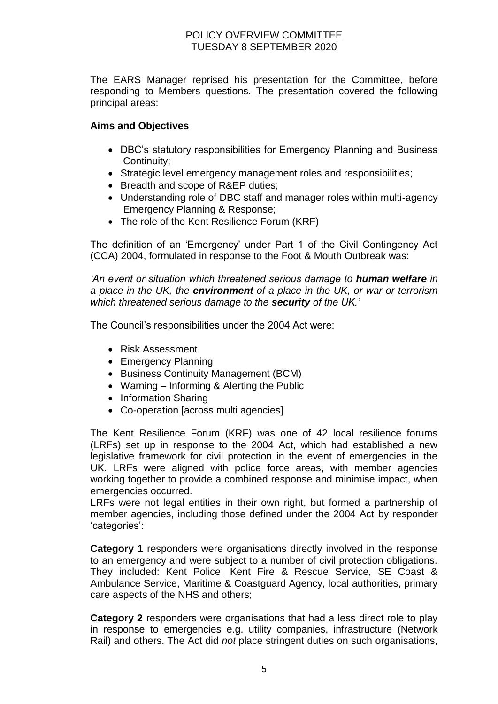The EARS Manager reprised his presentation for the Committee, before responding to Members questions. The presentation covered the following principal areas:

# **Aims and Objectives**

- DBC's statutory responsibilities for Emergency Planning and Business Continuity;
- Strategic level emergency management roles and responsibilities;
- Breadth and scope of R&EP duties;
- Understanding role of DBC staff and manager roles within multi-agency Emergency Planning & Response;
- The role of the Kent Resilience Forum (KRF)

The definition of an 'Emergency' under Part 1 of the Civil Contingency Act (CCA) 2004, formulated in response to the Foot & Mouth Outbreak was:

*'An event or situation which threatened serious damage to human welfare in a place in the UK, the environment of a place in the UK, or war or terrorism which threatened serious damage to the security of the UK.'*

The Council's responsibilities under the 2004 Act were:

- Risk Assessment
- Emergency Planning
- Business Continuity Management (BCM)
- Warning Informing & Alerting the Public
- Information Sharing
- Co-operation [across multi agencies]

The Kent Resilience Forum (KRF) was one of 42 local resilience forums (LRFs) set up in response to the 2004 Act, which had established a new legislative framework for civil protection in the event of emergencies in the UK. LRFs were aligned with police force areas, with member agencies working together to provide a combined response and minimise impact, when emergencies occurred.

LRFs were not legal entities in their own right, but formed a partnership of member agencies, including those defined under the 2004 Act by responder 'categories':

**Category 1** responders were organisations directly involved in the response to an emergency and were subject to a number of civil protection obligations. They included: Kent Police, Kent Fire & Rescue Service, SE Coast & Ambulance Service, Maritime & Coastguard Agency, local authorities, primary care aspects of the NHS and others;

**Category 2** responders were organisations that had a less direct role to play in response to emergencies e.g. utility companies, infrastructure (Network Rail) and others. The Act did *not* place stringent duties on such organisations,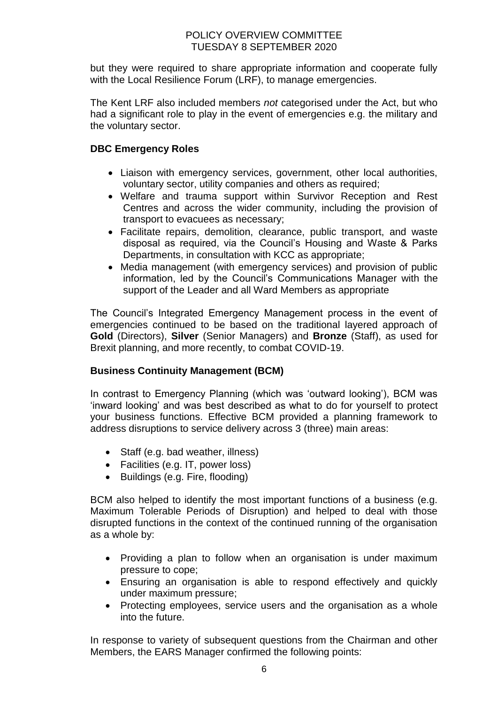but they were required to share appropriate information and cooperate fully with the Local Resilience Forum (LRF), to manage emergencies.

The Kent LRF also included members *not* categorised under the Act, but who had a significant role to play in the event of emergencies e.g. the military and the voluntary sector.

# **DBC Emergency Roles**

- Liaison with emergency services, government, other local authorities, voluntary sector, utility companies and others as required;
- Welfare and trauma support within Survivor Reception and Rest Centres and across the wider community, including the provision of transport to evacuees as necessary;
- Facilitate repairs, demolition, clearance, public transport, and waste disposal as required, via the Council's Housing and Waste & Parks Departments, in consultation with KCC as appropriate;
- Media management (with emergency services) and provision of public information, led by the Council's Communications Manager with the support of the Leader and all Ward Members as appropriate

The Council's Integrated Emergency Management process in the event of emergencies continued to be based on the traditional layered approach of **Gold** (Directors), **Silver** (Senior Managers) and **Bronze** (Staff), as used for Brexit planning, and more recently, to combat COVID-19.

# **Business Continuity Management (BCM)**

In contrast to Emergency Planning (which was 'outward looking'), BCM was 'inward looking' and was best described as what to do for yourself to protect your business functions. Effective BCM provided a planning framework to address disruptions to service delivery across 3 (three) main areas:

- Staff (e.g. bad weather, illness)
- Facilities (e.g. IT, power loss)
- Buildings (e.g. Fire, flooding)

BCM also helped to identify the most important functions of a business (e.g. Maximum Tolerable Periods of Disruption) and helped to deal with those disrupted functions in the context of the continued running of the organisation as a whole by:

- Providing a plan to follow when an organisation is under maximum pressure to cope;
- Ensuring an organisation is able to respond effectively and quickly under maximum pressure;
- Protecting employees, service users and the organisation as a whole into the future.

In response to variety of subsequent questions from the Chairman and other Members, the EARS Manager confirmed the following points: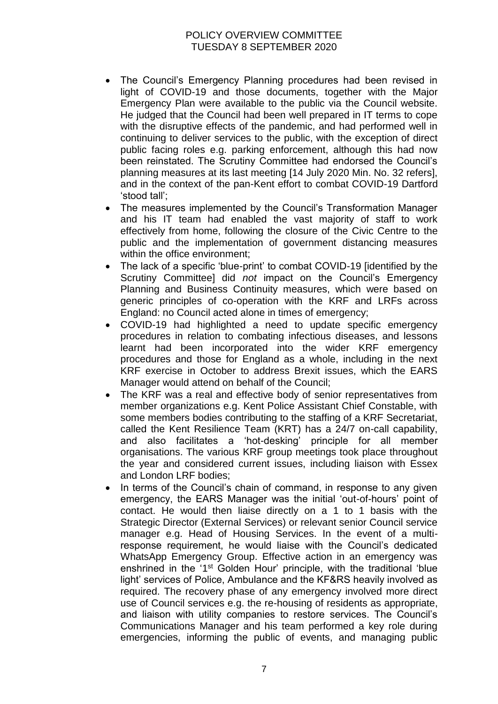- The Council's Emergency Planning procedures had been revised in light of COVID-19 and those documents, together with the Major Emergency Plan were available to the public via the Council website. He judged that the Council had been well prepared in IT terms to cope with the disruptive effects of the pandemic, and had performed well in continuing to deliver services to the public, with the exception of direct public facing roles e.g. parking enforcement, although this had now been reinstated. The Scrutiny Committee had endorsed the Council's planning measures at its last meeting [14 July 2020 Min. No. 32 refers], and in the context of the pan-Kent effort to combat COVID-19 Dartford 'stood tall';
- The measures implemented by the Council's Transformation Manager and his IT team had enabled the vast majority of staff to work effectively from home, following the closure of the Civic Centre to the public and the implementation of government distancing measures within the office environment;
- The lack of a specific 'blue-print' to combat COVID-19 [identified by the Scrutiny Committee] did *not* impact on the Council's Emergency Planning and Business Continuity measures, which were based on generic principles of co-operation with the KRF and LRFs across England: no Council acted alone in times of emergency;
- COVID-19 had highlighted a need to update specific emergency procedures in relation to combating infectious diseases, and lessons learnt had been incorporated into the wider KRF emergency procedures and those for England as a whole, including in the next KRF exercise in October to address Brexit issues, which the EARS Manager would attend on behalf of the Council;
- The KRF was a real and effective body of senior representatives from member organizations e.g. Kent Police Assistant Chief Constable, with some members bodies contributing to the staffing of a KRF Secretariat, called the Kent Resilience Team (KRT) has a 24/7 on-call capability, and also facilitates a 'hot-desking' principle for all member organisations. The various KRF group meetings took place throughout the year and considered current issues, including liaison with Essex and London LRF bodies;
- In terms of the Council's chain of command, in response to any given emergency, the EARS Manager was the initial 'out-of-hours' point of contact. He would then liaise directly on a 1 to 1 basis with the Strategic Director (External Services) or relevant senior Council service manager e.g. Head of Housing Services. In the event of a multiresponse requirement, he would liaise with the Council's dedicated WhatsApp Emergency Group. Effective action in an emergency was enshrined in the '1<sup>st</sup> Golden Hour' principle, with the traditional 'blue light' services of Police, Ambulance and the KF&RS heavily involved as required. The recovery phase of any emergency involved more direct use of Council services e.g. the re-housing of residents as appropriate, and liaison with utility companies to restore services. The Council's Communications Manager and his team performed a key role during emergencies, informing the public of events, and managing public